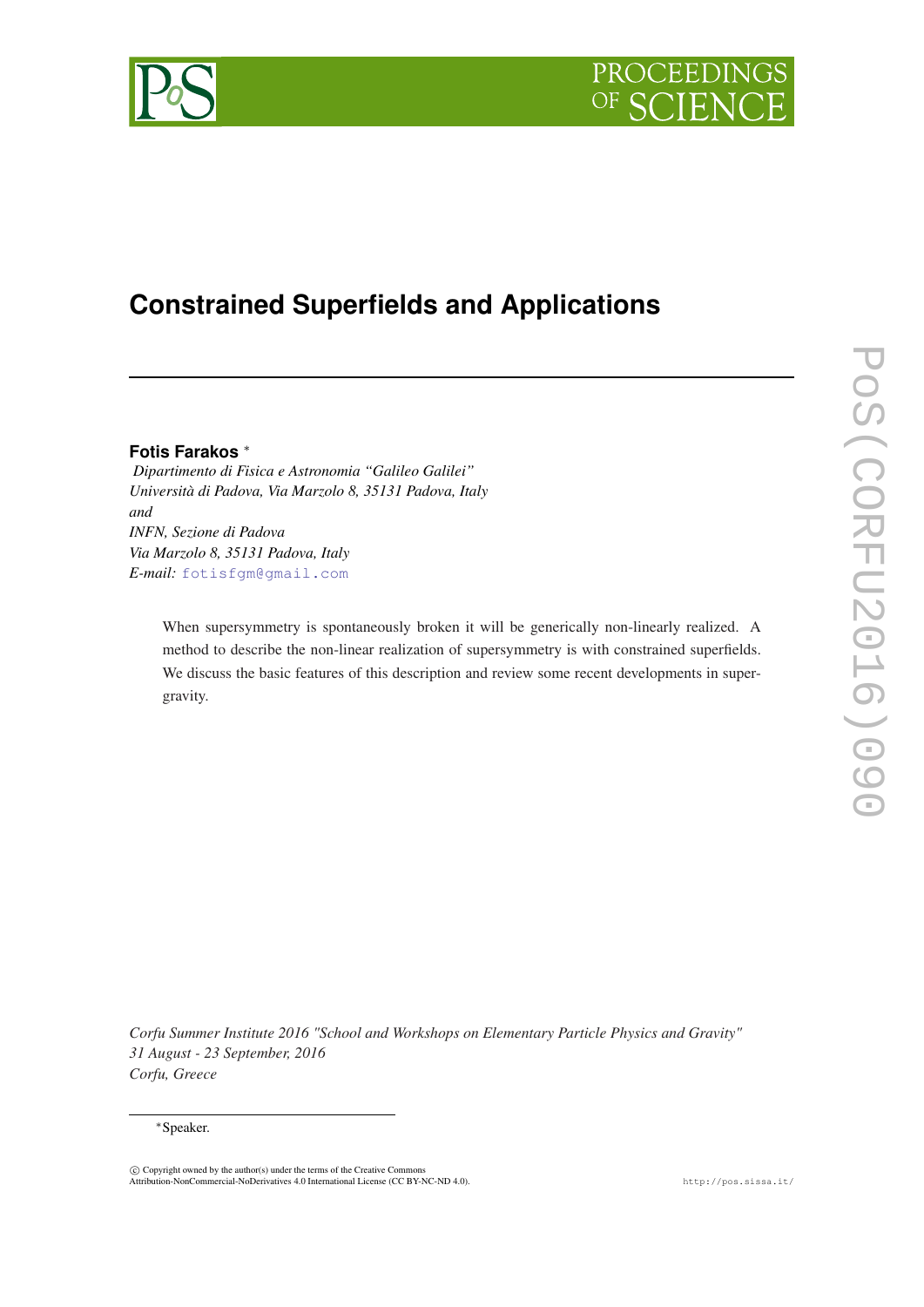



# **Constrained Superfields and Applications**

# **Fotis Farakos** <sup>∗</sup>

*Dipartimento di Fisica e Astronomia "Galileo Galilei" Università di Padova, Via Marzolo 8, 35131 Padova, Italy and INFN, Sezione di Padova Via Marzolo 8, 35131 Padova, Italy E-mail:* [fotisfgm@gmail.com](mailto:fotisfgm@gmail.com)

When supersymmetry is spontaneously broken it will be generically non-linearly realized. A method to describe the non-linear realization of supersymmetry is with constrained superfields. We discuss the basic features of this description and review some recent developments in supergravity.

*Corfu Summer Institute 2016 "School and Workshops on Elementary Particle Physics and Gravity" 31 August - 23 September, 2016 Corfu, Greece*

#### <sup>∗</sup>Speaker.

 $\odot$  Copyright owned by the author(s) under the terms of the Creative Commons Attribution-NonCommercial-NoDerivatives 4.0 International License (CC BY-NC-ND 4.0). http://pos.sissa.it/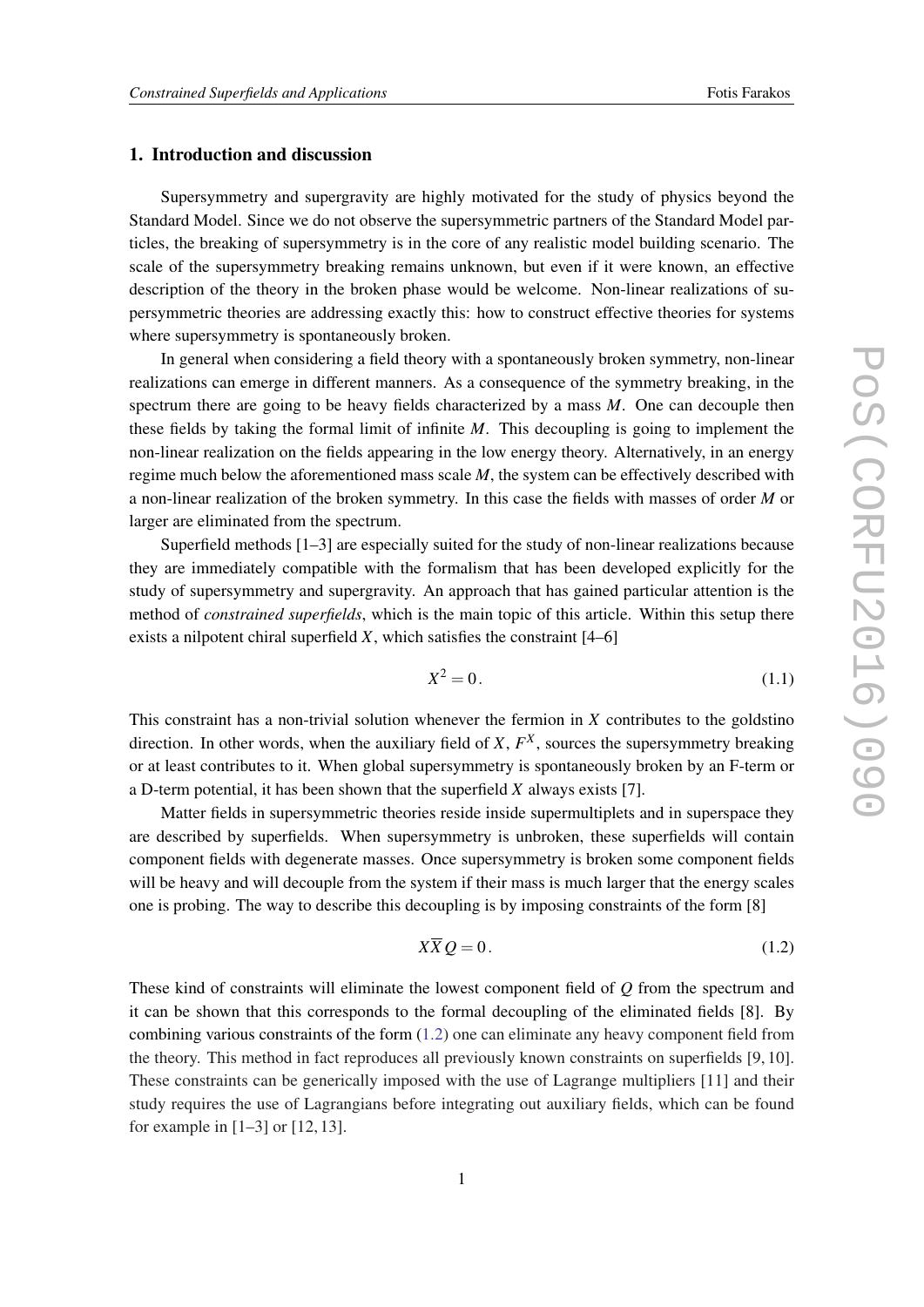# <span id="page-1-0"></span>1. Introduction and discussion

Supersymmetry and supergravity are highly motivated for the study of physics beyond the Standard Model. Since we do not observe the supersymmetric partners of the Standard Model particles, the breaking of supersymmetry is in the core of any realistic model building scenario. The scale of the supersymmetry breaking remains unknown, but even if it were known, an effective description of the theory in the broken phase would be welcome. Non-linear realizations of supersymmetric theories are addressing exactly this: how to construct effective theories for systems where supersymmetry is spontaneously broken.

In general when considering a field theory with a spontaneously broken symmetry, non-linear realizations can emerge in different manners. As a consequence of the symmetry breaking, in the spectrum there are going to be heavy fields characterized by a mass *M*. One can decouple then these fields by taking the formal limit of infinite *M*. This decoupling is going to implement the non-linear realization on the fields appearing in the low energy theory. Alternatively, in an energy regime much below the aforementioned mass scale *M*, the system can be effectively described with a non-linear realization of the broken symmetry. In this case the fields with masses of order *M* or larger are eliminated from the spectrum.

Superfield methods [1–3] are especially suited for the study of non-linear realizations because they are immediately compatible with the formalism that has been developed explicitly for the study of supersymmetry and supergravity. An approach that has gained particular attention is the method of *constrained superfields*, which is the main topic of this article. Within this setup there exists a nilpotent chiral superfield  $X$ , which satisfies the constraint  $[4–6]$ 

$$
X^2 = 0.\t(1.1)
$$

This constraint has a non-trivial solution whenever the fermion in *X* contributes to the goldstino direction. In other words, when the auxiliary field of  $X$ ,  $F<sup>X</sup>$ , sources the supersymmetry breaking or at least contributes to it. When global supersymmetry is spontaneously broken by an F-term or a D-term potential, it has been shown that the superfield *X* always exists [7].

Matter fields in supersymmetric theories reside inside supermultiplets and in superspace they are described by superfields. When supersymmetry is unbroken, these superfields will contain component fields with degenerate masses. Once supersymmetry is broken some component fields will be heavy and will decouple from the system if their mass is much larger that the energy scales one is probing. The way to describe this decoupling is by imposing constraints of the form [8]

$$
X\overline{X}Q = 0.\t\t(1.2)
$$

These kind of constraints will eliminate the lowest component field of *Q* from the spectrum and it can be shown that this corresponds to the formal decoupling of the eliminated fields [8]. By combining various constraints of the form (1.2) one can eliminate any heavy component field from the theory. This method in fact reproduces all previously known constraints on superfields [9, 10]. These constraints can be generically imposed with the use of Lagrange multipliers [11] and their study requires the use of Lagrangians before integrating out auxiliary fields, which can be found for example in [1–3] or [12, 13].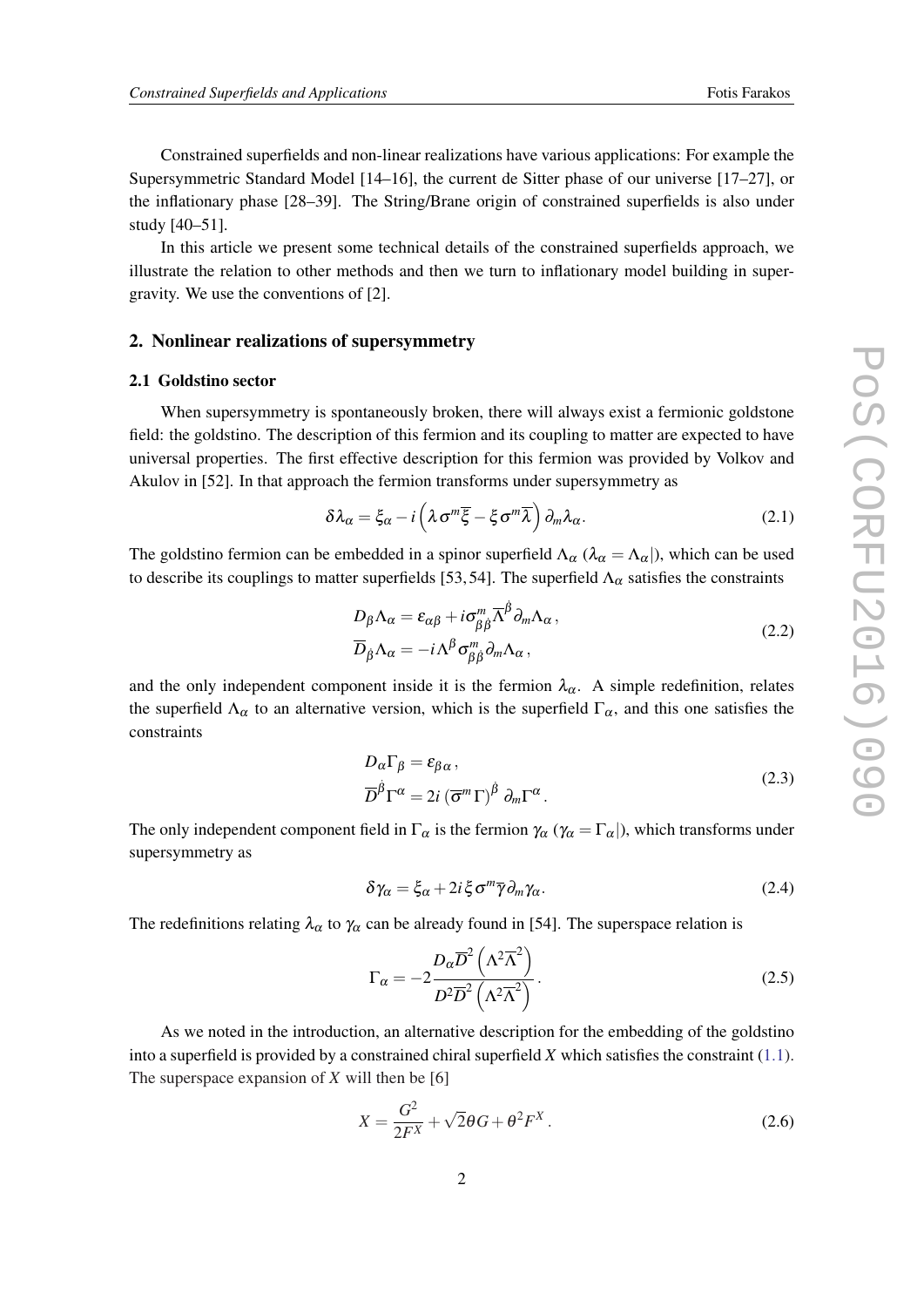<span id="page-2-0"></span>Constrained superfields and non-linear realizations have various applications: For example the Supersymmetric Standard Model [14–16], the current de Sitter phase of our universe [17–27], or the inflationary phase [28–39]. The String/Brane origin of constrained superfields is also under study [40–51].

In this article we present some technical details of the constrained superfields approach, we illustrate the relation to other methods and then we turn to inflationary model building in supergravity. We use the conventions of [2].

#### 2. Nonlinear realizations of supersymmetry

#### 2.1 Goldstino sector

When supersymmetry is spontaneously broken, there will always exist a fermionic goldstone field: the goldstino. The description of this fermion and its coupling to matter are expected to have universal properties. The first effective description for this fermion was provided by Volkov and Akulov in [52]. In that approach the fermion transforms under supersymmetry as

$$
\delta \lambda_{\alpha} = \xi_{\alpha} - i \left( \lambda \sigma^m \overline{\xi} - \xi \sigma^m \overline{\lambda} \right) \partial_m \lambda_{\alpha}.
$$
 (2.1)

The goldstino fermion can be embedded in a spinor superfield  $\Lambda_{\alpha}$  ( $\lambda_{\alpha} = \Lambda_{\alpha}$ ), which can be used to describe its couplings to matter superfields [53, 54]. The superfield  $\Lambda_{\alpha}$  satisfies the constraints

$$
D_{\beta} \Lambda_{\alpha} = \varepsilon_{\alpha\beta} + i \sigma_{\beta\dot{\beta}}^{m} \overline{\Lambda}^{\dot{\beta}} \partial_{m} \Lambda_{\alpha},
$$
  
\n
$$
\overline{D}_{\dot{\beta}} \Lambda_{\alpha} = -i \Lambda^{\beta} \sigma_{\beta\dot{\beta}}^{m} \partial_{m} \Lambda_{\alpha},
$$
\n(2.2)

and the only independent component inside it is the fermion  $\lambda_{\alpha}$ . A simple redefinition, relates the superfield  $\Lambda_{\alpha}$  to an alternative version, which is the superfield  $\Gamma_{\alpha}$ , and this one satisfies the constraints

$$
D_{\alpha}\Gamma_{\beta} = \varepsilon_{\beta\alpha},
$$
  
\n
$$
\overline{D}^{\dot{\beta}}\Gamma^{\alpha} = 2i \left(\overline{\sigma}^{m}\Gamma\right)^{\dot{\beta}} \partial_{m}\Gamma^{\alpha}.
$$
\n(2.3)

The only independent component field in  $\Gamma_\alpha$  is the fermion  $\gamma_\alpha$  ( $\gamma_\alpha = \Gamma_\alpha$ ), which transforms under supersymmetry as

$$
\delta \gamma_{\alpha} = \xi_{\alpha} + 2i \xi \sigma^m \overline{\gamma} \partial_m \gamma_{\alpha}.
$$
 (2.4)

The redefinitions relating  $\lambda_{\alpha}$  to  $\gamma_{\alpha}$  can be already found in [54]. The superspace relation is

$$
\Gamma_{\alpha} = -2 \frac{D_{\alpha} \overline{D}^2 \left(\Lambda^2 \overline{\Lambda}^2\right)}{D^2 \overline{D}^2 \left(\Lambda^2 \overline{\Lambda}^2\right)}.
$$
\n(2.5)

As we noted in the introduction, an alternative description for the embedding of the goldstino into a superfield is provided by a constrained chiral superfield *X* which satisfies the constraint ([1.1\)](#page-1-0). The superspace expansion of *X* will then be [6]

$$
X = \frac{G^2}{2F^X} + \sqrt{2}\theta G + \theta^2 F^X. \tag{2.6}
$$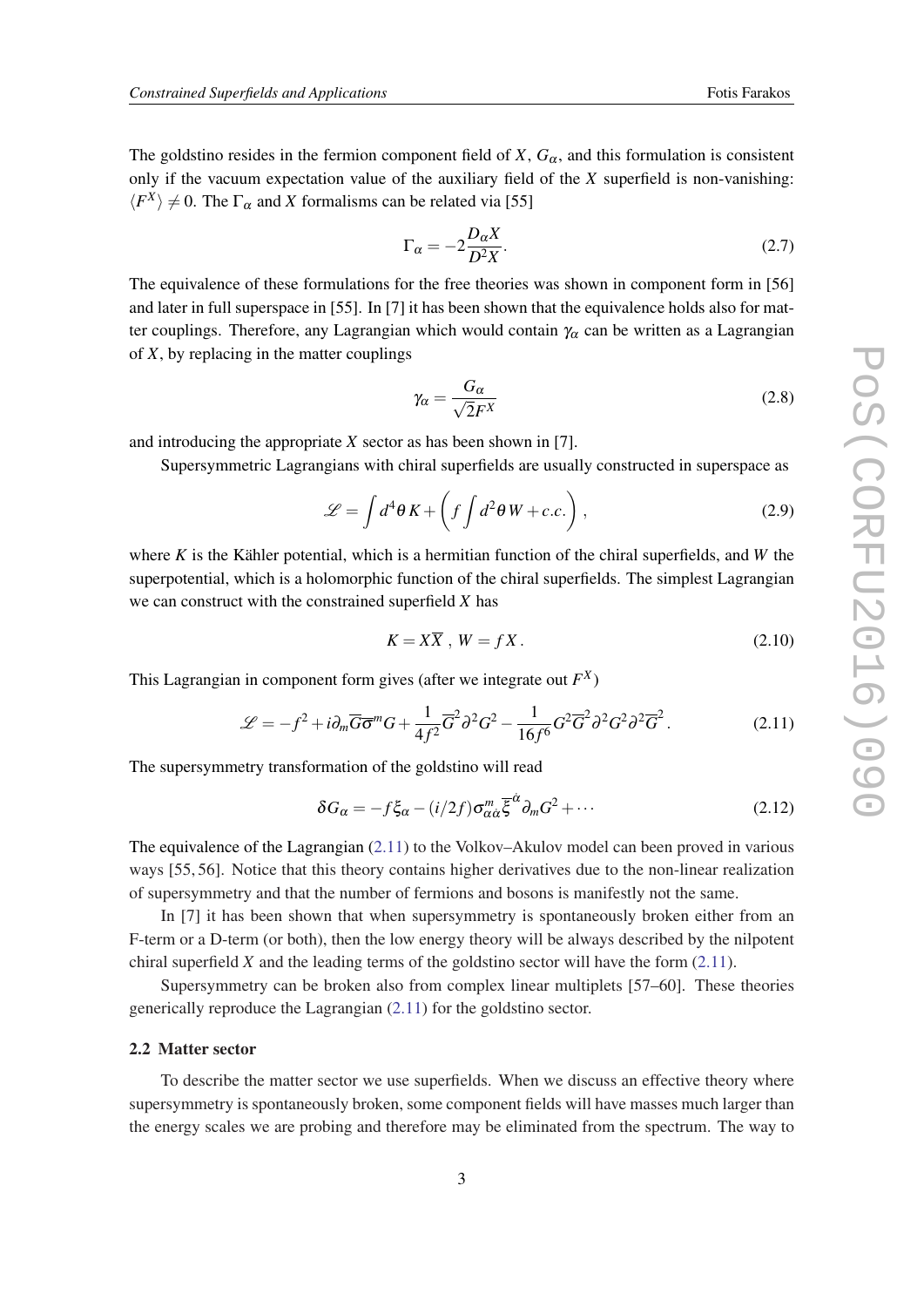<span id="page-3-0"></span>The goldstino resides in the fermion component field of *X*,  $G_{\alpha}$ , and this formulation is consistent only if the vacuum expectation value of the auxiliary field of the *X* superfield is non-vanishing:  $\langle F^X \rangle \neq 0$ . The  $\Gamma_\alpha$  and *X* formalisms can be related via [55]

$$
\Gamma_{\alpha} = -2 \frac{D_{\alpha} X}{D^2 X}.
$$
\n(2.7)

The equivalence of these formulations for the free theories was shown in component form in [56] and later in full superspace in [55]. In [7] it has been shown that the equivalence holds also for matter couplings. Therefore, any Lagrangian which would contain  $\gamma_\alpha$  can be written as a Lagrangian of *X*, by replacing in the matter couplings

$$
\gamma_{\alpha} = \frac{G_{\alpha}}{\sqrt{2}F^{X}}
$$
 (2.8)

and introducing the appropriate *X* sector as has been shown in [7].

Supersymmetric Lagrangians with chiral superfields are usually constructed in superspace as

$$
\mathcal{L} = \int d^4\theta K + \left( f \int d^2\theta W + c.c. \right), \qquad (2.9)
$$

where *K* is the Kähler potential, which is a hermitian function of the chiral superfields, and *W* the superpotential, which is a holomorphic function of the chiral superfields. The simplest Lagrangian we can construct with the constrained superfield *X* has

$$
K = X\overline{X}, \ W = fX. \tag{2.10}
$$

This Lagrangian in component form gives (after we integrate out *F X* )

$$
\mathcal{L} = -f^2 + i\partial_m \overline{G} \overline{\sigma}^m G + \frac{1}{4f^2} \overline{G}^2 \partial^2 G^2 - \frac{1}{16f^6} G^2 \overline{G}^2 \partial^2 G^2 \partial^2 \overline{G}^2. \tag{2.11}
$$

The supersymmetry transformation of the goldstino will read

$$
\delta G_{\alpha} = -f\xi_{\alpha} - (i/2f)\sigma_{\alpha\dot{\alpha}}^{m}\overline{\xi}^{\dot{\alpha}}\partial_{m}G^{2} + \cdots
$$
 (2.12)

The equivalence of the Lagrangian (2.11) to the Volkov–Akulov model can been proved in various ways [55, 56]. Notice that this theory contains higher derivatives due to the non-linear realization of supersymmetry and that the number of fermions and bosons is manifestly not the same.

In [7] it has been shown that when supersymmetry is spontaneously broken either from an F-term or a D-term (or both), then the low energy theory will be always described by the nilpotent chiral superfield *X* and the leading terms of the goldstino sector will have the form (2.11).

Supersymmetry can be broken also from complex linear multiplets [57–60]. These theories generically reproduce the Lagrangian (2.11) for the goldstino sector.

#### 2.2 Matter sector

To describe the matter sector we use superfields. When we discuss an effective theory where supersymmetry is spontaneously broken, some component fields will have masses much larger than the energy scales we are probing and therefore may be eliminated from the spectrum. The way to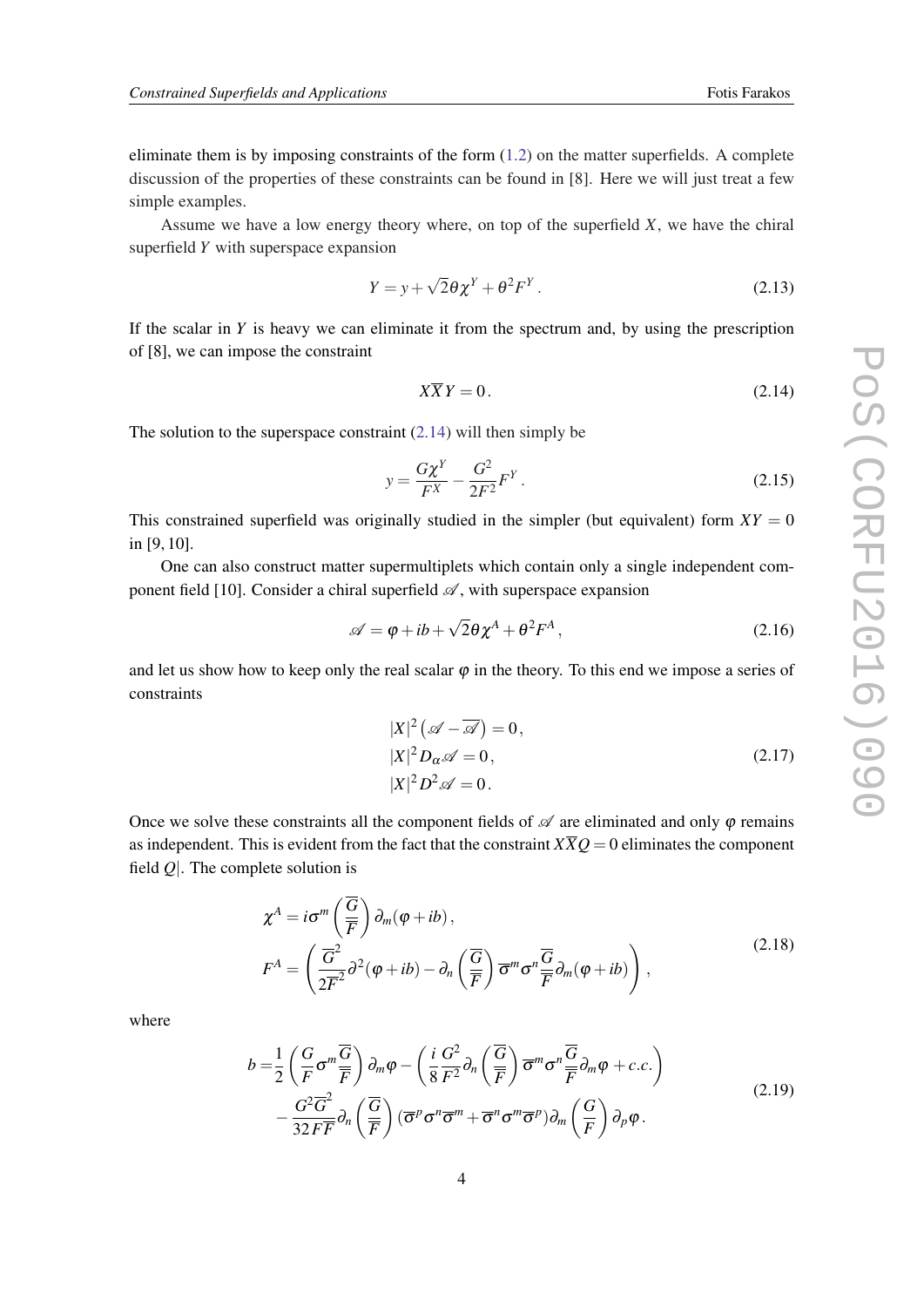<span id="page-4-0"></span>eliminate them is by imposing constraints of the form  $(1.2)$  $(1.2)$  $(1.2)$  on the matter superfields. A complete discussion of the properties of these constraints can be found in [8]. Here we will just treat a few simple examples.

Assume we have a low energy theory where, on top of the superfield *X*, we have the chiral superfield *Y* with superspace expansion

$$
Y = y + \sqrt{2}\theta \chi^Y + \theta^2 F^Y. \tag{2.13}
$$

If the scalar in *Y* is heavy we can eliminate it from the spectrum and, by using the prescription of [8], we can impose the constraint

$$
X\overline{X}Y = 0.\t(2.14)
$$

The solution to the superspace constraint  $(2.14)$  will then simply be

$$
y = \frac{G\chi^Y}{F^X} - \frac{G^2}{2F^2}F^Y.
$$
 (2.15)

This constrained superfield was originally studied in the simpler (but equivalent) form  $XY = 0$ in [9, 10].

One can also construct matter supermultiplets which contain only a single independent component field [10]. Consider a chiral superfield  $\mathscr A$ , with superspace expansion

$$
\mathscr{A} = \varphi + ib + \sqrt{2}\theta \chi^A + \theta^2 F^A, \qquad (2.16)
$$

and let us show how to keep only the real scalar  $\varphi$  in the theory. To this end we impose a series of constraints

$$
|X|^2 \left(\mathscr{A} - \overline{\mathscr{A}}\right) = 0,
$$
  
\n
$$
|X|^2 D_{\alpha} \mathscr{A} = 0,
$$
  
\n
$$
|X|^2 D^2 \mathscr{A} = 0.
$$
\n(2.17)

Once we solve these constraints all the component fields of  $\mathscr A$  are eliminated and only  $\varphi$  remains as independent. This is evident from the fact that the constraint  $X\overline{X}Q = 0$  eliminates the component field *Q*|. The complete solution is

$$
\chi^{A} = i\sigma^{m}\left(\frac{\overline{G}}{\overline{F}}\right)\partial_{m}(\varphi + ib),
$$
\n
$$
F^{A} = \left(\frac{\overline{G}^{2}}{2\overline{F}^{2}}\partial^{2}(\varphi + ib) - \partial_{n}\left(\frac{\overline{G}}{\overline{F}}\right)\overline{\sigma}^{m}\sigma^{n}\frac{\overline{G}}{\overline{F}}\partial_{m}(\varphi + ib)\right),
$$
\n(2.18)

where

$$
b = \frac{1}{2} \left( \frac{G}{F} \sigma^m \frac{\overline{G}}{\overline{F}} \right) \partial_m \varphi - \left( \frac{i}{8} \frac{G^2}{F^2} \partial_n \left( \frac{\overline{G}}{\overline{F}} \right) \overline{\sigma}^m \sigma^n \frac{\overline{G}}{\overline{F}} \partial_m \varphi + c.c. \right) - \frac{G^2 \overline{G}^2}{32 F \overline{F}} \partial_n \left( \frac{\overline{G}}{\overline{F}} \right) (\overline{\sigma}^p \sigma^n \overline{\sigma}^m + \overline{\sigma}^n \sigma^m \overline{\sigma}^p) \partial_m \left( \frac{G}{F} \right) \partial_p \varphi.
$$
 (2.19)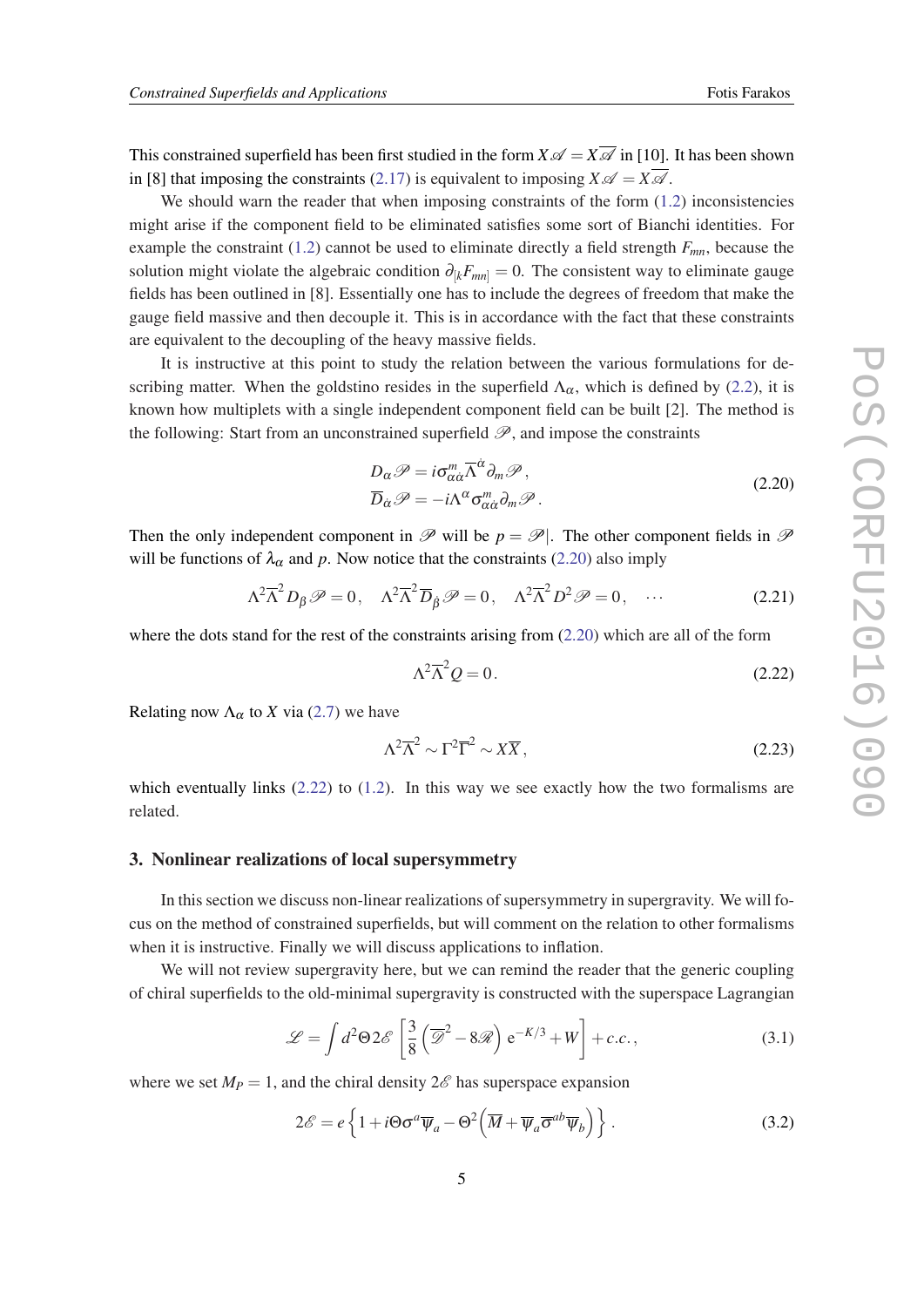<span id="page-5-0"></span>This constrained superfield has been first studied in the form  $X \mathscr{A} = X \overline{\mathscr{A}}$  in [10]. It has been shown in [8] that imposing the constraints [\(2.17](#page-4-0)) is equivalent to imposing  $X \mathscr{A} = X \overline{\mathscr{A}}$ .

We should warn the reader that when imposing constraints of the form  $(1.2)$  inconsistencies might arise if the component field to be eliminated satisfies some sort of Bianchi identities. For example the constraint [\(1.2](#page-1-0)) cannot be used to eliminate directly a field strength *Fmn*, because the solution might violate the algebraic condition  $\partial_{k}F_{mn} = 0$ . The consistent way to eliminate gauge fields has been outlined in [8]. Essentially one has to include the degrees of freedom that make the gauge field massive and then decouple it. This is in accordance with the fact that these constraints are equivalent to the decoupling of the heavy massive fields.

It is instructive at this point to study the relation between the various formulations for describing matter. When the goldstino resides in the superfield  $\Lambda_{\alpha}$ , which is defined by [\(2.2](#page-2-0)), it is known how multiplets with a single independent component field can be built [2]. The method is the following: Start from an unconstrained superfield  $\mathscr{P}$ , and impose the constraints

$$
D_{\alpha} \mathscr{P} = i \sigma_{\alpha \dot{\alpha}}^{m} \overline{\Lambda}^{\dot{\alpha}} \partial_{m} \mathscr{P}, \overline{D}_{\dot{\alpha}} \mathscr{P} = -i \Lambda^{\alpha} \sigma_{\alpha \dot{\alpha}}^{m} \partial_{m} \mathscr{P}.
$$
\n(2.20)

Then the only independent component in  $\mathscr P$  will be  $p = \mathscr P$ . The other component fields in  $\mathscr P$ will be functions of  $\lambda_{\alpha}$  and p. Now notice that the constraints (2.20) also imply

$$
\Lambda^2 \overline{\Lambda}^2 D_{\beta} \mathcal{P} = 0, \quad \Lambda^2 \overline{\Lambda}^2 \overline{D}_{\dot{\beta}} \mathcal{P} = 0, \quad \Lambda^2 \overline{\Lambda}^2 D^2 \mathcal{P} = 0, \quad \cdots \tag{2.21}
$$

where the dots stand for the rest of the constraints arising from  $(2.20)$  which are all of the form

$$
\Lambda^2 \overline{\Lambda}^2 Q = 0. \tag{2.22}
$$

Relating now  $\Lambda_{\alpha}$  to *X* via ([2.7\)](#page-3-0) we have

$$
\Lambda^2 \overline{\Lambda}^2 \sim \Gamma^2 \overline{\Gamma}^2 \sim X \overline{X},\tag{2.23}
$$

which eventually links  $(2.22)$  to  $(1.2)$ . In this way we see exactly how the two formalisms are related.

#### 3. Nonlinear realizations of local supersymmetry

In this section we discuss non-linear realizations of supersymmetry in supergravity. We will focus on the method of constrained superfields, but will comment on the relation to other formalisms when it is instructive. Finally we will discuss applications to inflation.

We will not review supergravity here, but we can remind the reader that the generic coupling of chiral superfields to the old-minimal supergravity is constructed with the superspace Lagrangian

$$
\mathcal{L} = \int d^2 \Theta 2\mathscr{E} \left[ \frac{3}{8} \left( \overline{\mathscr{D}}^2 - 8\mathscr{R} \right) e^{-K/3} + W \right] + c.c., \tag{3.1}
$$

where we set  $M_P = 1$ , and the chiral density  $2\mathscr{E}$  has superspace expansion

$$
2\mathscr{E} = e \left\{ 1 + i\Theta \sigma^a \overline{\psi}_a - \Theta^2 \left( \overline{M} + \overline{\psi}_a \overline{\sigma}^{ab} \overline{\psi}_b \right) \right\}.
$$
 (3.2)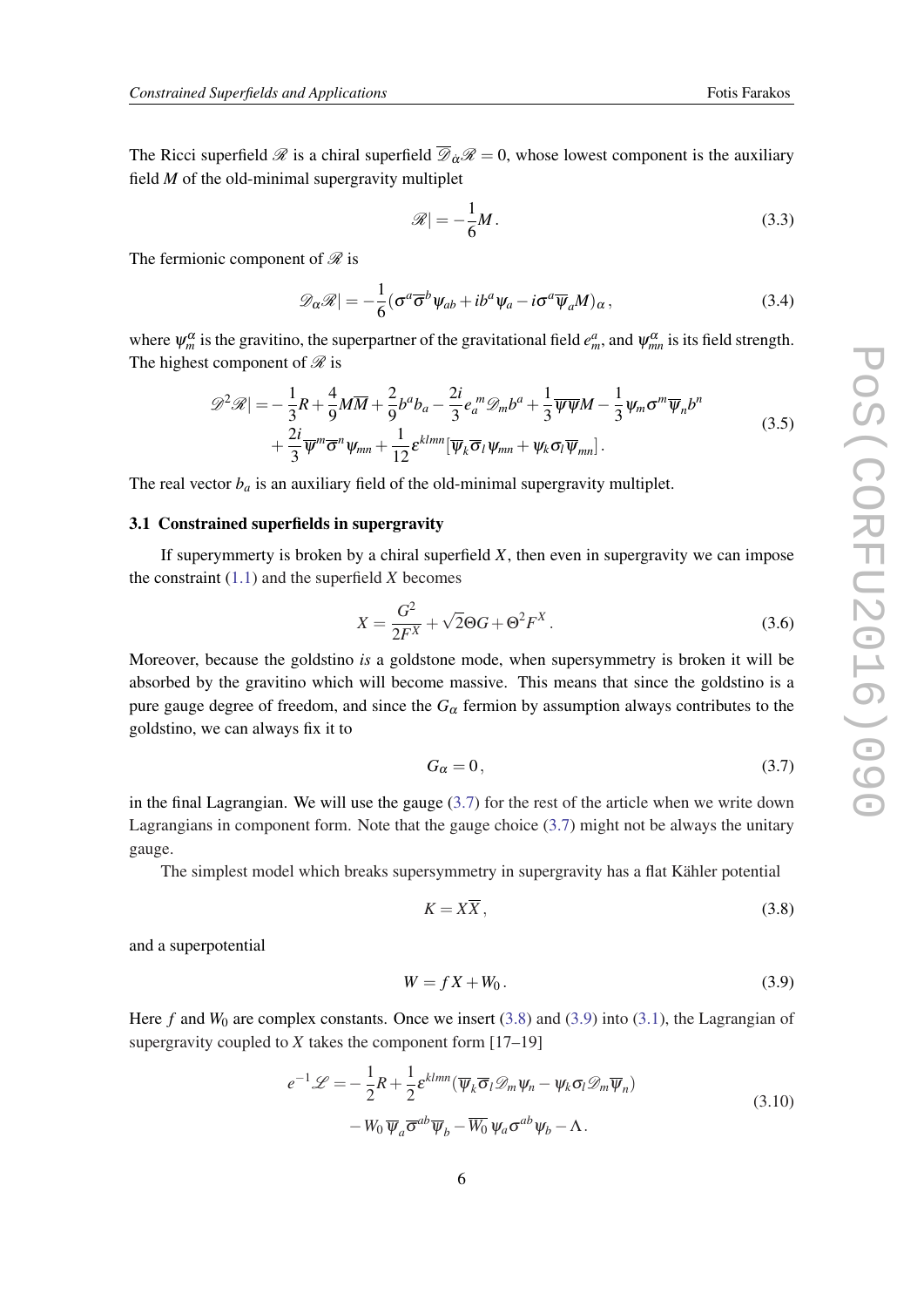<span id="page-6-0"></span>The Ricci superfield  $\mathscr R$  is a chiral superfield  $\overline{\mathscr D}_\alpha\mathscr R=0$ , whose lowest component is the auxiliary field *M* of the old-minimal supergravity multiplet

$$
\mathscr{R}| = -\frac{1}{6}M.\tag{3.3}
$$

The fermionic component of  $\mathscr R$  is

$$
\mathscr{D}_{\alpha}\mathscr{R}| = -\frac{1}{6}(\sigma^a \overline{\sigma}^b \psi_{ab} + ib^a \psi_a - i \sigma^a \overline{\psi}_a M)_{\alpha}, \qquad (3.4)
$$

where  $\psi_m^{\alpha}$  is the gravitino, the superpartner of the gravitational field  $e_m^a$ , and  $\psi_{mn}^{\alpha}$  is its field strength. The highest component of  $\mathcal{R}$  is

$$
\mathscr{D}^2 \mathscr{R}| = -\frac{1}{3}R + \frac{4}{9}M\overline{M} + \frac{2}{9}b^ab_a - \frac{2i}{3}e_a^m \mathscr{D}_m b^a + \frac{1}{3}\overline{\psi}\overline{\psi}M - \frac{1}{3}\psi_m \sigma^m \overline{\psi}_n b^n
$$
  
+  $\frac{2i}{3}\overline{\psi}^m \overline{\sigma}^n \psi_{mn} + \frac{1}{12}\epsilon^{klmn}[\overline{\psi}_k \overline{\sigma}_l \psi_{mn} + \psi_k \sigma_l \overline{\psi}_{mn}].$  (3.5)

The real vector  $b_a$  is an auxiliary field of the old-minimal supergravity multiplet.

### 3.1 Constrained superfields in supergravity

If superymmerty is broken by a chiral superfield  $X$ , then even in supergravity we can impose the constraint ([1.1](#page-1-0)) and the superfield *X* becomes

$$
X = \frac{G^2}{2F^X} + \sqrt{2}\Theta G + \Theta^2 F^X. \tag{3.6}
$$

Moreover, because the goldstino *is* a goldstone mode, when supersymmetry is broken it will be absorbed by the gravitino which will become massive. This means that since the goldstino is a pure gauge degree of freedom, and since the  $G_\alpha$  fermion by assumption always contributes to the goldstino, we can always fix it to

$$
G_{\alpha} = 0, \tag{3.7}
$$

in the final Lagrangian. We will use the gauge (3.7) for the rest of the article when we write down Lagrangians in component form. Note that the gauge choice (3.7) might not be always the unitary gauge.

The simplest model which breaks supersymmetry in supergravity has a flat Kähler potential

$$
K = X\overline{X},\tag{3.8}
$$

and a superpotential

$$
W = fX + W_0. \tag{3.9}
$$

Here *f* and *W*<sub>0</sub> are complex constants. Once we insert (3.8) and (3.9) into [\(3.1](#page-5-0)), the Lagrangian of supergravity coupled to *X* takes the component form [17–19]

$$
e^{-1}\mathcal{L} = -\frac{1}{2}R + \frac{1}{2}\varepsilon^{klmn}(\overline{\psi}_k \overline{\sigma}_l \mathcal{D}_m \psi_n - \psi_k \sigma_l \mathcal{D}_m \overline{\psi}_n)
$$
  

$$
-W_0 \overline{\psi}_a \overline{\sigma}^{ab} \overline{\psi}_b - \overline{W_0} \psi_a \sigma^{ab} \psi_b - \Lambda.
$$
 (3.10)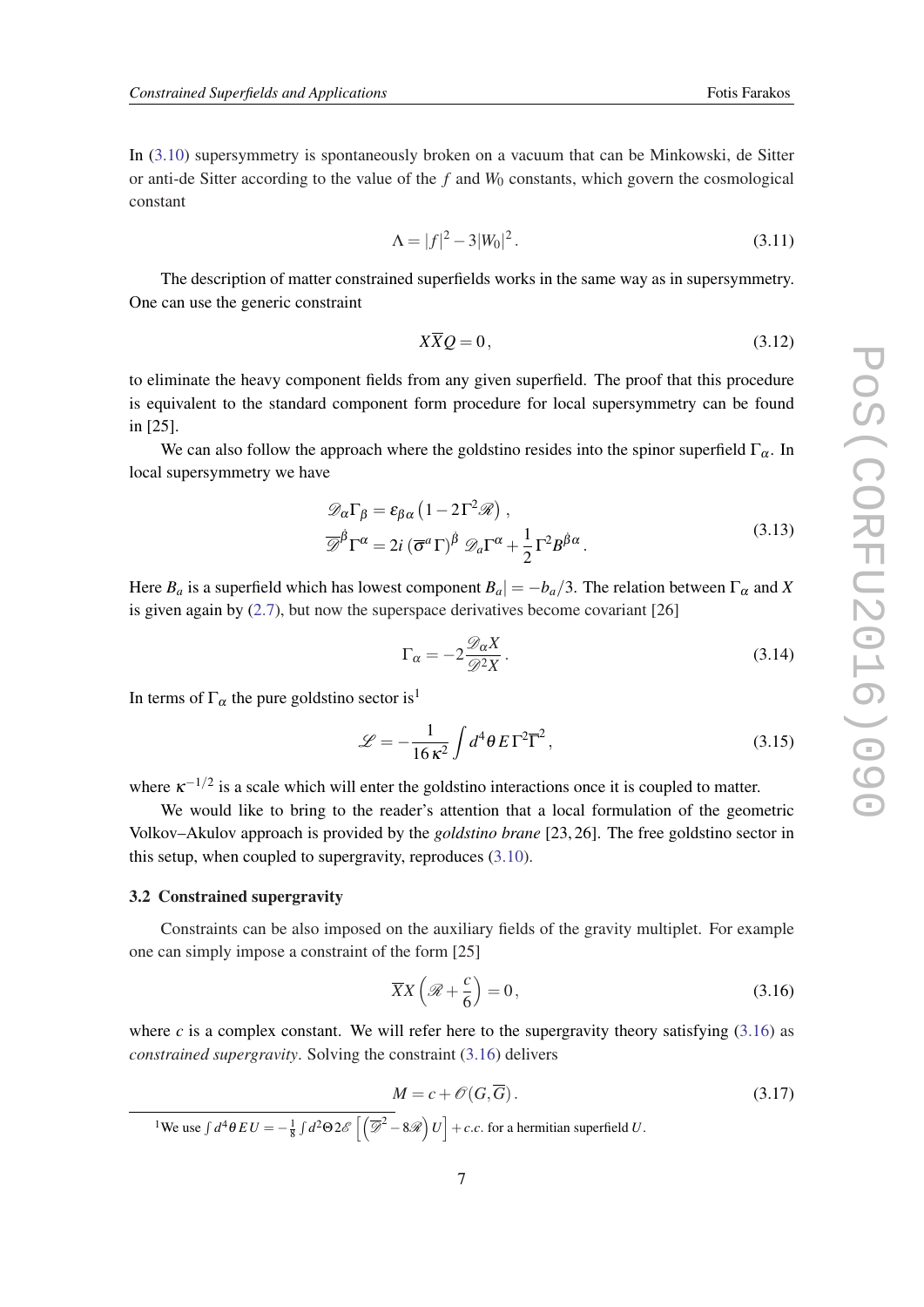<span id="page-7-0"></span>In [\(3.10\)](#page-6-0) supersymmetry is spontaneously broken on a vacuum that can be Minkowski, de Sitter or anti-de Sitter according to the value of the *f* and  $W_0$  constants, which govern the cosmological constant

$$
\Lambda = |f|^2 - 3|W_0|^2. \tag{3.11}
$$

The description of matter constrained superfields works in the same way as in supersymmetry. One can use the generic constraint

$$
X\overline{X}Q = 0, \tag{3.12}
$$

to eliminate the heavy component fields from any given superfield. The proof that this procedure is equivalent to the standard component form procedure for local supersymmetry can be found in [25].

We can also follow the approach where the goldstino resides into the spinor superfield  $\Gamma_{\alpha}$ . In local supersymmetry we have

$$
\mathcal{D}_{\alpha}\Gamma_{\beta} = \varepsilon_{\beta\alpha} \left(1 - 2\Gamma^{2}\mathcal{R}\right),
$$
  

$$
\overline{\mathcal{D}}^{\dot{\beta}}\Gamma^{\alpha} = 2i \left(\overline{\sigma}^{\alpha}\Gamma\right)^{\dot{\beta}} \mathcal{D}_{a}\Gamma^{\alpha} + \frac{1}{2}\Gamma^{2}B^{\dot{\beta}\alpha}.
$$
 (3.13)

Here  $B_a$  is a superfield which has lowest component  $B_a$  =  $-b_a/3$ . The relation between  $\Gamma_\alpha$  and *X* is given again by  $(2.7)$  $(2.7)$ , but now the superspace derivatives become covariant [26]

$$
\Gamma_{\alpha} = -2 \frac{\mathcal{D}_{\alpha} X}{\mathcal{D}^2 X}.
$$
\n(3.14)

In terms of  $\Gamma_{\alpha}$  the pure goldstino sector is<sup>1</sup>

$$
\mathcal{L} = -\frac{1}{16\,\kappa^2} \int d^4\theta \, E \,\Gamma^2 \overline{\Gamma}^2 \,, \tag{3.15}
$$

where  $\kappa^{-1/2}$  is a scale which will enter the goldstino interactions once it is coupled to matter.

We would like to bring to the reader's attention that a local formulation of the geometric Volkov–Akulov approach is provided by the *goldstino brane* [23, 26]. The free goldstino sector in this setup, when coupled to supergravity, reproduces [\(3.10](#page-6-0)).

#### 3.2 Constrained supergravity

Constraints can be also imposed on the auxiliary fields of the gravity multiplet. For example one can simply impose a constraint of the form [25]

$$
\overline{X}X\left(\mathcal{R}+\frac{c}{6}\right)=0,\t\t(3.16)
$$

where *c* is a complex constant. We will refer here to the supergravity theory satisfying  $(3.16)$  as *constrained supergravity*. Solving the constraint (3.16) delivers

$$
M = c + \mathcal{O}(G, \overline{G}).
$$
\n(3.17)

<sup>1</sup>We use  $\int d^4\theta \, EU = -\frac{1}{8} \int d^2\Theta \, 2\mathscr{E} \left[ \left( \overline{\mathscr{D}}^2 - 8\mathscr{R} \right) U \right] + c.c.$  for a hermitian superfield *U*.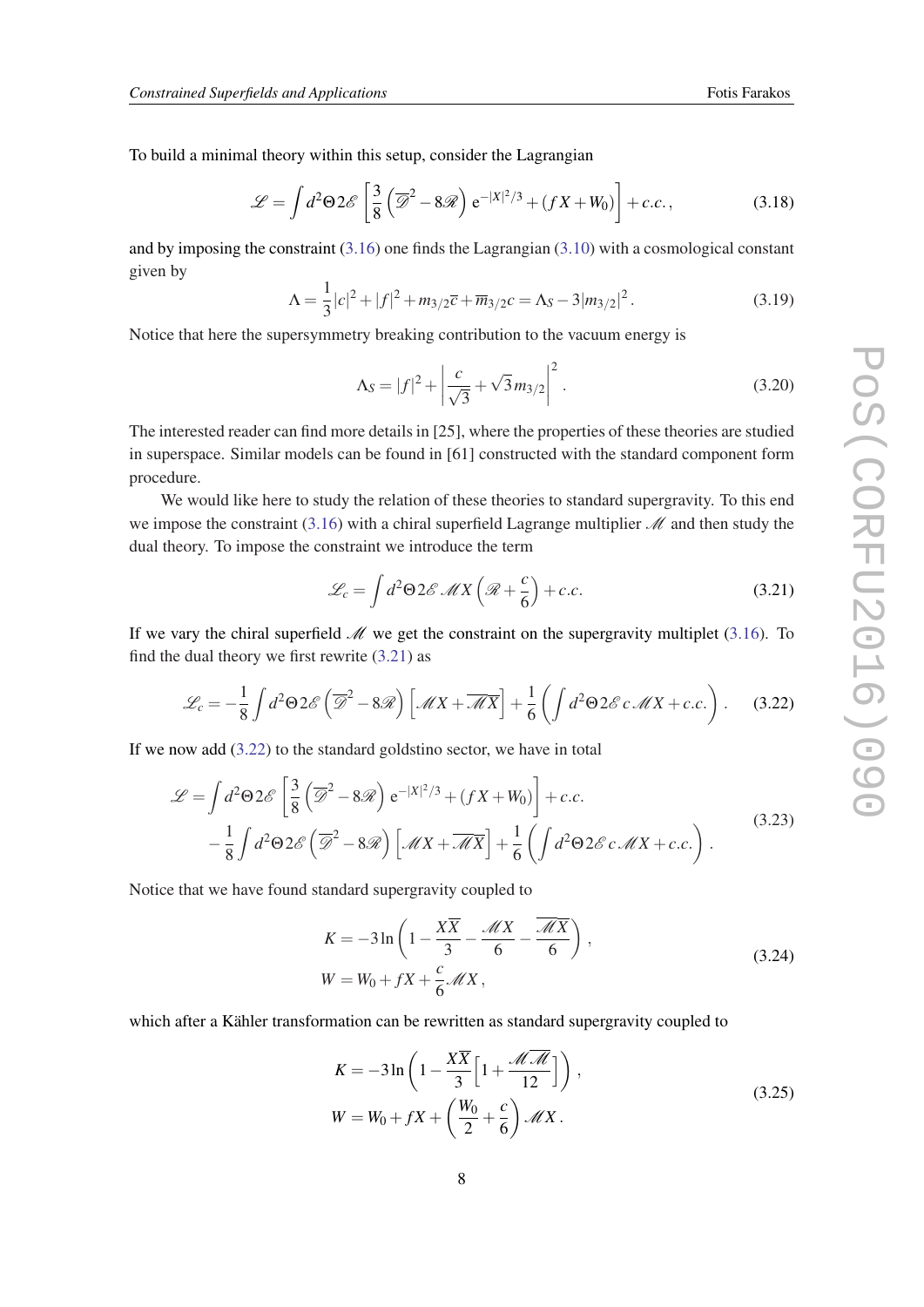<span id="page-8-0"></span>To build a minimal theory within this setup, consider the Lagrangian

$$
\mathcal{L} = \int d^2 \Theta 2\mathscr{E} \left[ \frac{3}{8} \left( \overline{\mathscr{D}}^2 - 8\mathscr{R} \right) e^{-|X|^2/3} + (fX + W_0) \right] + c.c., \tag{3.18}
$$

and by imposing the constraint ([3.16\)](#page-7-0) one finds the Lagrangian ([3.10\)](#page-6-0) with a cosmological constant given by

$$
\Lambda = \frac{1}{3}|c|^2 + |f|^2 + m_{3/2}\bar{c} + \overline{m}_{3/2}c = \Lambda_S - 3|m_{3/2}|^2.
$$
 (3.19)

Notice that here the supersymmetry breaking contribution to the vacuum energy is

$$
\Lambda_S = |f|^2 + \left| \frac{c}{\sqrt{3}} + \sqrt{3} m_{3/2} \right|^2.
$$
 (3.20)

The interested reader can find more details in [25], where the properties of these theories are studied in superspace. Similar models can be found in [61] constructed with the standard component form procedure.

We would like here to study the relation of these theories to standard supergravity. To this end we impose the constraint [\(3.16](#page-7-0)) with a chiral superfield Lagrange multiplier  $\mathcal M$  and then study the dual theory. To impose the constraint we introduce the term

$$
\mathcal{L}_c = \int d^2 \Theta 2\mathcal{E} \mathcal{M} X \left( \mathcal{R} + \frac{c}{6} \right) + c.c.
$$
 (3.21)

If we vary the chiral superfield  $\mathcal M$  we get the constraint on the supergravity multiplet [\(3.16](#page-7-0)). To find the dual theory we first rewrite (3.21) as

$$
\mathcal{L}_c = -\frac{1}{8} \int d^2 \Theta 2\mathscr{E} \left( \overline{\mathscr{D}}^2 - 8\mathscr{R} \right) \left[ \mathscr{M}X + \overline{\mathscr{M}X} \right] + \frac{1}{6} \left( \int d^2 \Theta 2\mathscr{E} c \mathscr{M}X + c.c. \right). \tag{3.22}
$$

If we now add  $(3.22)$  to the standard goldstino sector, we have in total

$$
\mathcal{L} = \int d^2 \Theta 2\mathscr{E} \left[ \frac{3}{8} \left( \overline{\mathscr{D}}^2 - 8\mathscr{R} \right) e^{-|X|^2/3} + (fX + W_0) \right] + c.c.
$$
  
 
$$
- \frac{1}{8} \int d^2 \Theta 2\mathscr{E} \left( \overline{\mathscr{D}}^2 - 8\mathscr{R} \right) \left[ \mathscr{M}X + \overline{\mathscr{M}X} \right] + \frac{1}{6} \left( \int d^2 \Theta 2\mathscr{E} c \mathscr{M}X + c.c. \right).
$$
 (3.23)

Notice that we have found standard supergravity coupled to

$$
K = -3\ln\left(1 - \frac{X\overline{X}}{3} - \frac{\mathcal{M}X}{6} - \frac{\overline{\mathcal{M}X}}{6}\right),
$$
  
\n
$$
W = W_0 + fX + \frac{c}{6}\mathcal{M}X,
$$
\n(3.24)

which after a Kähler transformation can be rewritten as standard supergravity coupled to

$$
K = -3\ln\left(1 - \frac{X\overline{X}}{3}\left[1 + \frac{\mathcal{M}\overline{\mathcal{M}}}{12}\right]\right),
$$
  
\n
$$
W = W_0 + fX + \left(\frac{W_0}{2} + \frac{c}{6}\right)\mathcal{M}X.
$$
\n(3.25)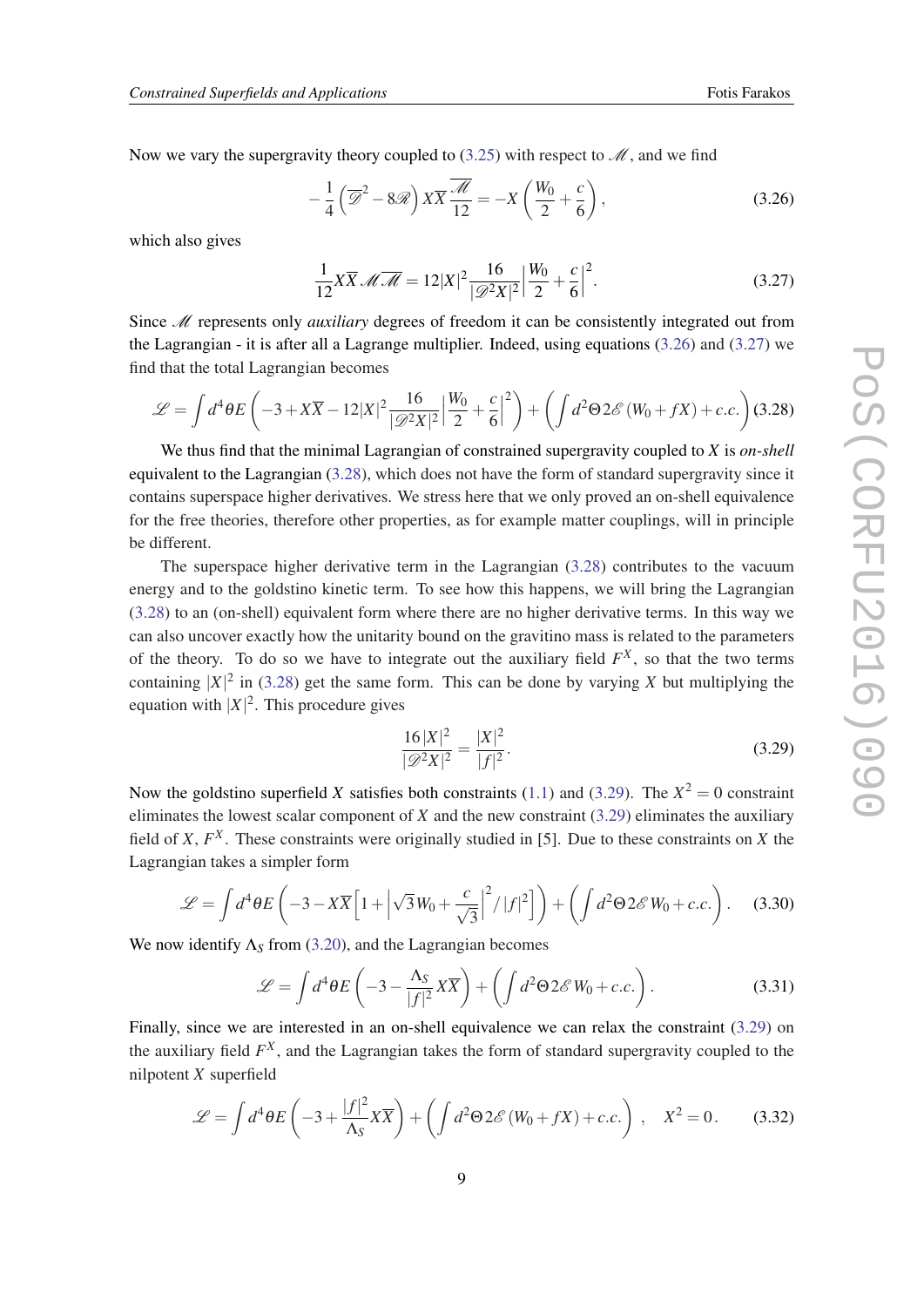Now we vary the supergravity theory coupled to  $(3.25)$  $(3.25)$  with respect to  $\mathcal{M}$ , and we find

$$
-\frac{1}{4}\left(\overline{\mathcal{D}}^2 - 8\mathcal{R}\right)X\overline{X}\frac{\overline{\mathcal{M}}}{12} = -X\left(\frac{W_0}{2} + \frac{c}{6}\right),\tag{3.26}
$$

which also gives

$$
\frac{1}{12}X\overline{X} \mathscr{M}\overline{\mathscr{M}} = 12|X|^2 \frac{16}{|\mathscr{D}^2 X|^2} \Big|\frac{W_0}{2} + \frac{c}{6}\Big|^2. \tag{3.27}
$$

Since M represents only *auxiliary* degrees of freedom it can be consistently integrated out from the Lagrangian - it is after all a Lagrange multiplier. Indeed, using equations (3.26) and (3.27) we find that the total Lagrangian becomes

$$
\mathcal{L} = \int d^4\theta E \left( -3 + X\overline{X} - 12|X|^2 \frac{16}{|\mathcal{D}^2 X|^2} \left| \frac{W_0}{2} + \frac{c}{6} \right|^2 \right) + \left( \int d^2\Theta 2\mathscr{E} \left( W_0 + fX \right) + c.c. \right) (3.28)
$$

We thus find that the minimal Lagrangian of constrained supergravity coupled to *X* is *on-shell* equivalent to the Lagrangian (3.28), which does not have the form of standard supergravity since it contains superspace higher derivatives. We stress here that we only proved an on-shell equivalence for the free theories, therefore other properties, as for example matter couplings, will in principle be different.

The superspace higher derivative term in the Lagrangian (3.28) contributes to the vacuum energy and to the goldstino kinetic term. To see how this happens, we will bring the Lagrangian (3.28) to an (on-shell) equivalent form where there are no higher derivative terms. In this way we can also uncover exactly how the unitarity bound on the gravitino mass is related to the parameters of the theory. To do so we have to integrate out the auxiliary field  $F^X$ , so that the two terms containing  $|X|^2$  in (3.28) get the same form. This can be done by varying X but multiplying the equation with  $|X|^2$ . This procedure gives

$$
\frac{16|X|^2}{|\mathcal{D}^2X|^2} = \frac{|X|^2}{|f|^2}.
$$
\n(3.29)

Now the goldstino superfield *X* satisfies both constraints [\(1.1\)](#page-1-0) and (3.29). The  $X^2 = 0$  constraint eliminates the lowest scalar component of *X* and the new constraint (3.29) eliminates the auxiliary field of  $X$ ,  $F<sup>X</sup>$ . These constraints were originally studied in [5]. Due to these constraints on  $X$  the Lagrangian takes a simpler form

$$
\mathcal{L} = \int d^4\theta E\left(-3 - X\overline{X}\Big[1 + \Big|\sqrt{3}W_0 + \frac{c}{\sqrt{3}}\Big|^2 / |f|^2\Big]\right) + \left(\int d^2\Theta 2\mathscr{E}W_0 + c.c.\right). \tag{3.30}
$$

We now identify  $\Lambda_s$  from ([3.20\)](#page-8-0), and the Lagrangian becomes

$$
\mathcal{L} = \int d^4\theta E \left( -3 - \frac{\Lambda_S}{|f|^2} X \overline{X} \right) + \left( \int d^2\Theta 2\mathscr{E} W_0 + c.c. \right). \tag{3.31}
$$

Finally, since we are interested in an on-shell equivalence we can relax the constraint (3.29) on the auxiliary field *F X* , and the Lagrangian takes the form of standard supergravity coupled to the nilpotent *X* superfield

$$
\mathcal{L} = \int d^4\theta E \left( -3 + \frac{|f|^2}{\Lambda_S} X \overline{X} \right) + \left( \int d^2\Theta 2\mathscr{E} \left( W_0 + fX \right) + c.c. \right) , \quad X^2 = 0.
$$
 (3.32)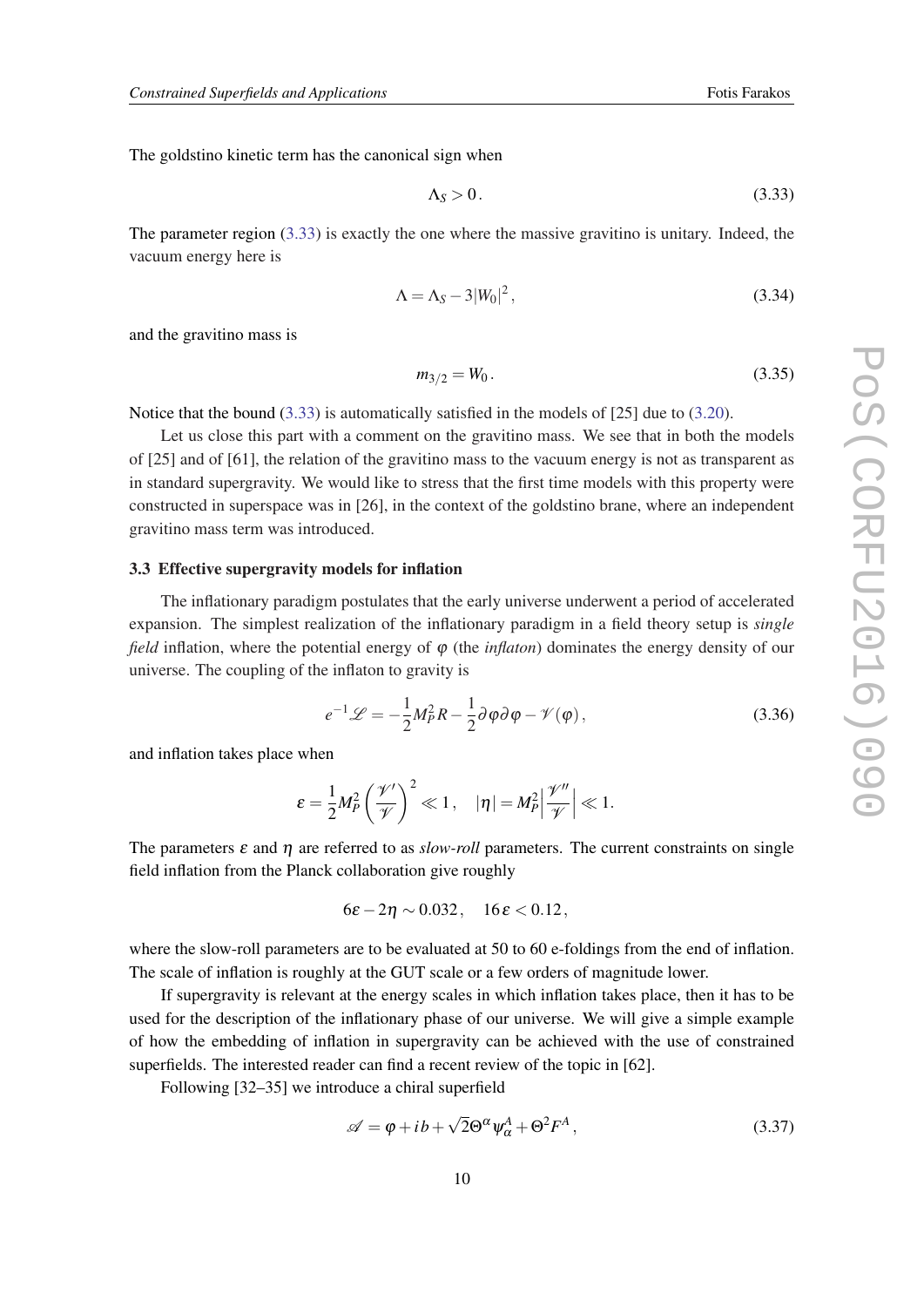The goldstino kinetic term has the canonical sign when

$$
\Lambda_S > 0. \tag{3.33}
$$

The parameter region (3.33) is exactly the one where the massive gravitino is unitary. Indeed, the vacuum energy here is

$$
\Lambda = \Lambda_S - 3|W_0|^2, \tag{3.34}
$$

and the gravitino mass is

$$
m_{3/2} = W_0. \tag{3.35}
$$

Notice that the bound (3.33) is automatically satisfied in the models of [25] due to ([3.20\)](#page-8-0).

Let us close this part with a comment on the gravitino mass. We see that in both the models of [25] and of [61], the relation of the gravitino mass to the vacuum energy is not as transparent as in standard supergravity. We would like to stress that the first time models with this property were constructed in superspace was in [26], in the context of the goldstino brane, where an independent gravitino mass term was introduced.

#### 3.3 Effective supergravity models for inflation

The inflationary paradigm postulates that the early universe underwent a period of accelerated expansion. The simplest realization of the inflationary paradigm in a field theory setup is *single field* inflation, where the potential energy of φ (the *inflaton*) dominates the energy density of our universe. The coupling of the inflaton to gravity is

$$
e^{-1}\mathscr{L} = -\frac{1}{2}M_P^2 R - \frac{1}{2}\partial\varphi\partial\varphi - \mathscr{V}(\varphi)\,,\tag{3.36}
$$

and inflation takes place when

$$
\varepsilon = \frac{1}{2} M_P^2 \left( \frac{\mathcal{V}'}{\mathcal{V}} \right)^2 \ll 1, \quad |\eta| = M_P^2 \left| \frac{\mathcal{V}''}{\mathcal{V}} \right| \ll 1.
$$

The parameters  $\varepsilon$  and  $\eta$  are referred to as *slow-roll* parameters. The current constraints on single field inflation from the Planck collaboration give roughly

$$
6\varepsilon - 2\eta \sim 0.032, \quad 16\varepsilon < 0.12,
$$

where the slow-roll parameters are to be evaluated at 50 to 60 e-foldings from the end of inflation. The scale of inflation is roughly at the GUT scale or a few orders of magnitude lower.

If supergravity is relevant at the energy scales in which inflation takes place, then it has to be used for the description of the inflationary phase of our universe. We will give a simple example of how the embedding of inflation in supergravity can be achieved with the use of constrained superfields. The interested reader can find a recent review of the topic in [62].

Following [32–35] we introduce a chiral superfield

$$
\mathscr{A} = \varphi + ib + \sqrt{2}\Theta^{\alpha}\psi_{\alpha}^{A} + \Theta^{2}F^{A}, \qquad (3.37)
$$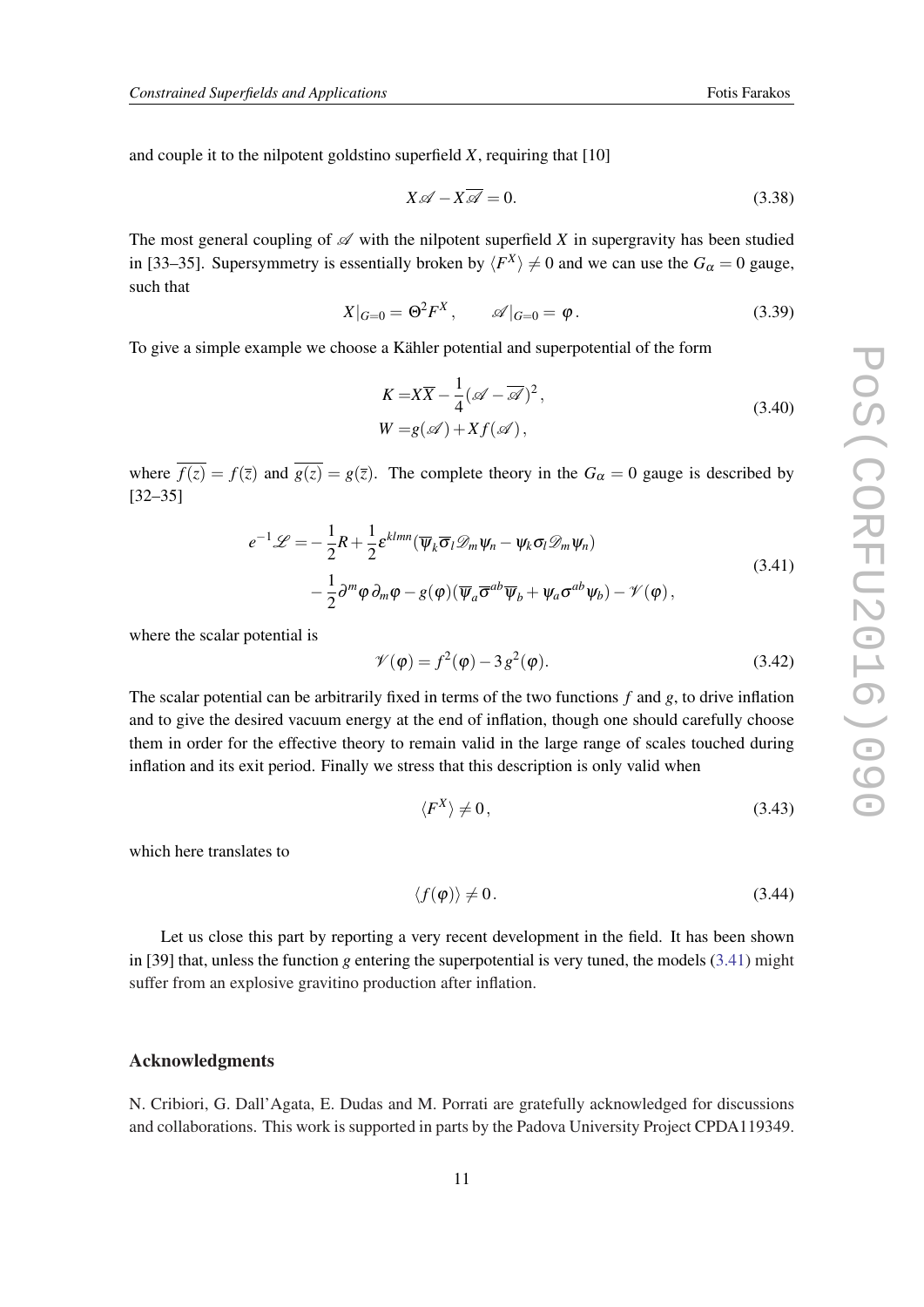and couple it to the nilpotent goldstino superfield *X*, requiring that [10]

$$
X \mathscr{A} - X \overline{\mathscr{A}} = 0. \tag{3.38}
$$

The most general coupling of  $\mathscr A$  with the nilpotent superfield *X* in supergravity has been studied in [33–35]. Supersymmetry is essentially broken by  $\langle F^X \rangle \neq 0$  and we can use the  $G_\alpha = 0$  gauge, such that

$$
X|_{G=0} = \Theta^2 F^X, \qquad \mathscr{A}|_{G=0} = \varphi. \tag{3.39}
$$

To give a simple example we choose a Kähler potential and superpotential of the form

$$
K = X\overline{X} - \frac{1}{4}(\mathscr{A} - \overline{\mathscr{A}})^2,
$$
  
\n
$$
W = g(\mathscr{A}) + Xf(\mathscr{A}),
$$
\n(3.40)

where  $\overline{f(z)} = f(\overline{z})$  and  $\overline{g(z)} = g(\overline{z})$ . The complete theory in the  $G_\alpha = 0$  gauge is described by [32–35]

$$
e^{-1}\mathcal{L} = -\frac{1}{2}R + \frac{1}{2}\varepsilon^{klmn}(\overline{\psi}_k \overline{\sigma}_l \mathcal{D}_m \psi_n - \psi_k \sigma_l \mathcal{D}_m \psi_n)
$$
  

$$
-\frac{1}{2}\partial^m \varphi \partial_m \varphi - g(\varphi)(\overline{\psi}_a \overline{\sigma}^{ab} \overline{\psi}_b + \psi_a \sigma^{ab} \psi_b) - \mathcal{V}(\varphi),
$$
 (3.41)

where the scalar potential is

$$
\mathscr{V}(\varphi) = f^2(\varphi) - 3g^2(\varphi). \tag{3.42}
$$

The scalar potential can be arbitrarily fixed in terms of the two functions *f* and *g*, to drive inflation and to give the desired vacuum energy at the end of inflation, though one should carefully choose them in order for the effective theory to remain valid in the large range of scales touched during inflation and its exit period. Finally we stress that this description is only valid when

$$
\langle F^X \rangle \neq 0,\tag{3.43}
$$

which here translates to

$$
\langle f(\varphi) \rangle \neq 0. \tag{3.44}
$$

Let us close this part by reporting a very recent development in the field. It has been shown in [39] that, unless the function *g* entering the superpotential is very tuned, the models (3.41) might suffer from an explosive gravitino production after inflation.

## Acknowledgments

N. Cribiori, G. Dall'Agata, E. Dudas and M. Porrati are gratefully acknowledged for discussions and collaborations. This work is supported in parts by the Padova University Project CPDA119349.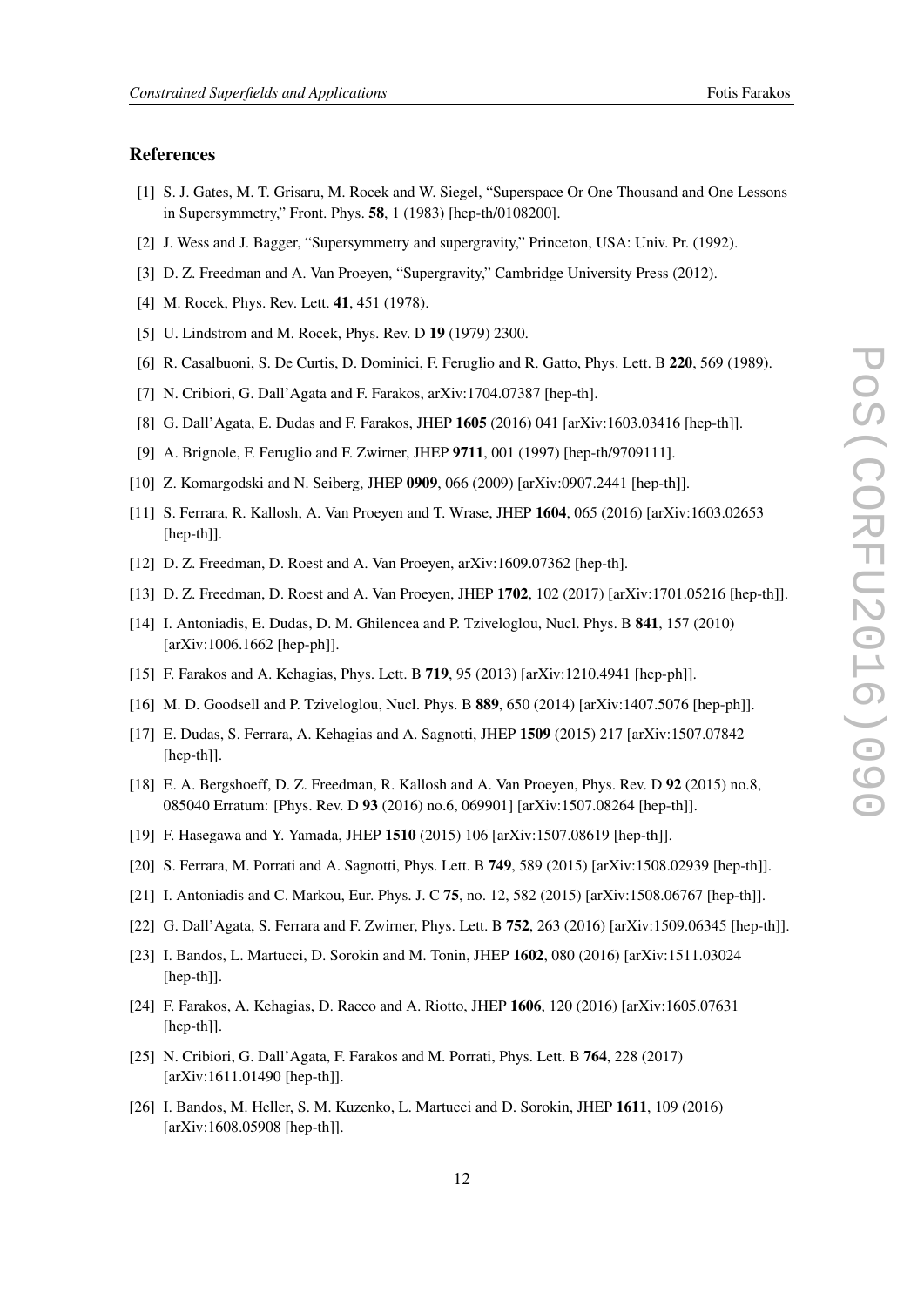#### References

- [1] S. J. Gates, M. T. Grisaru, M. Rocek and W. Siegel, "Superspace Or One Thousand and One Lessons in Supersymmetry," Front. Phys. 58, 1 (1983) [hep-th/0108200].
- [2] J. Wess and J. Bagger, "Supersymmetry and supergravity," Princeton, USA: Univ. Pr. (1992).
- [3] D. Z. Freedman and A. Van Proeyen, "Supergravity," Cambridge University Press (2012).
- [4] M. Rocek, Phys. Rev. Lett. **41**, 451 (1978).
- [5] U. Lindstrom and M. Rocek, Phys. Rev. D 19 (1979) 2300.
- [6] R. Casalbuoni, S. De Curtis, D. Dominici, F. Feruglio and R. Gatto, Phys. Lett. B 220, 569 (1989).
- [7] N. Cribiori, G. Dall'Agata and F. Farakos, arXiv:1704.07387 [hep-th].
- [8] G. Dall'Agata, E. Dudas and F. Farakos, JHEP 1605 (2016) 041 [arXiv:1603.03416 [hep-th]].
- [9] A. Brignole, F. Feruglio and F. Zwirner, JHEP 9711, 001 (1997) [hep-th/9709111].
- [10] Z. Komargodski and N. Seiberg, JHEP 0909, 066 (2009) [arXiv:0907.2441 [hep-th]].
- [11] S. Ferrara, R. Kallosh, A. Van Proeyen and T. Wrase, JHEP 1604, 065 (2016) [arXiv:1603.02653 [hep-th]].
- [12] D. Z. Freedman, D. Roest and A. Van Proeyen, arXiv:1609.07362 [hep-th].
- [13] D. Z. Freedman, D. Roest and A. Van Proeyen, JHEP 1702, 102 (2017) [arXiv:1701.05216 [hep-th]].
- [14] I. Antoniadis, E. Dudas, D. M. Ghilencea and P. Tziveloglou, Nucl. Phys. B 841, 157 (2010) [arXiv:1006.1662 [hep-ph]].
- [15] F. Farakos and A. Kehagias, Phys. Lett. B 719, 95 (2013) [arXiv:1210.4941 [hep-ph]].
- [16] M. D. Goodsell and P. Tziveloglou, Nucl. Phys. B 889, 650 (2014) [arXiv:1407.5076 [hep-ph]].
- [17] E. Dudas, S. Ferrara, A. Kehagias and A. Sagnotti, JHEP 1509 (2015) 217 [arXiv:1507.07842 [hep-th]].
- [18] E. A. Bergshoeff, D. Z. Freedman, R. Kallosh and A. Van Proeyen, Phys. Rev. D 92 (2015) no.8, 085040 Erratum: [Phys. Rev. D 93 (2016) no.6, 069901] [arXiv:1507.08264 [hep-th]].
- [19] F. Hasegawa and Y. Yamada, JHEP 1510 (2015) 106 [arXiv:1507.08619 [hep-th]].
- [20] S. Ferrara, M. Porrati and A. Sagnotti, Phys. Lett. B 749, 589 (2015) [arXiv:1508.02939 [hep-th]].
- [21] I. Antoniadis and C. Markou, Eur. Phys. J. C 75, no. 12, 582 (2015) [arXiv:1508.06767 [hep-th]].
- [22] G. Dall'Agata, S. Ferrara and F. Zwirner, Phys. Lett. B 752, 263 (2016) [arXiv:1509.06345 [hep-th]].
- [23] I. Bandos, L. Martucci, D. Sorokin and M. Tonin, JHEP 1602, 080 (2016) [arXiv:1511.03024 [hep-th]].
- [24] F. Farakos, A. Kehagias, D. Racco and A. Riotto, JHEP 1606, 120 (2016) [arXiv:1605.07631 [hep-th]].
- [25] N. Cribiori, G. Dall'Agata, F. Farakos and M. Porrati, Phys. Lett. B 764, 228 (2017) [arXiv:1611.01490 [hep-th]].
- [26] I. Bandos, M. Heller, S. M. Kuzenko, L. Martucci and D. Sorokin, JHEP 1611, 109 (2016) [arXiv:1608.05908 [hep-th]].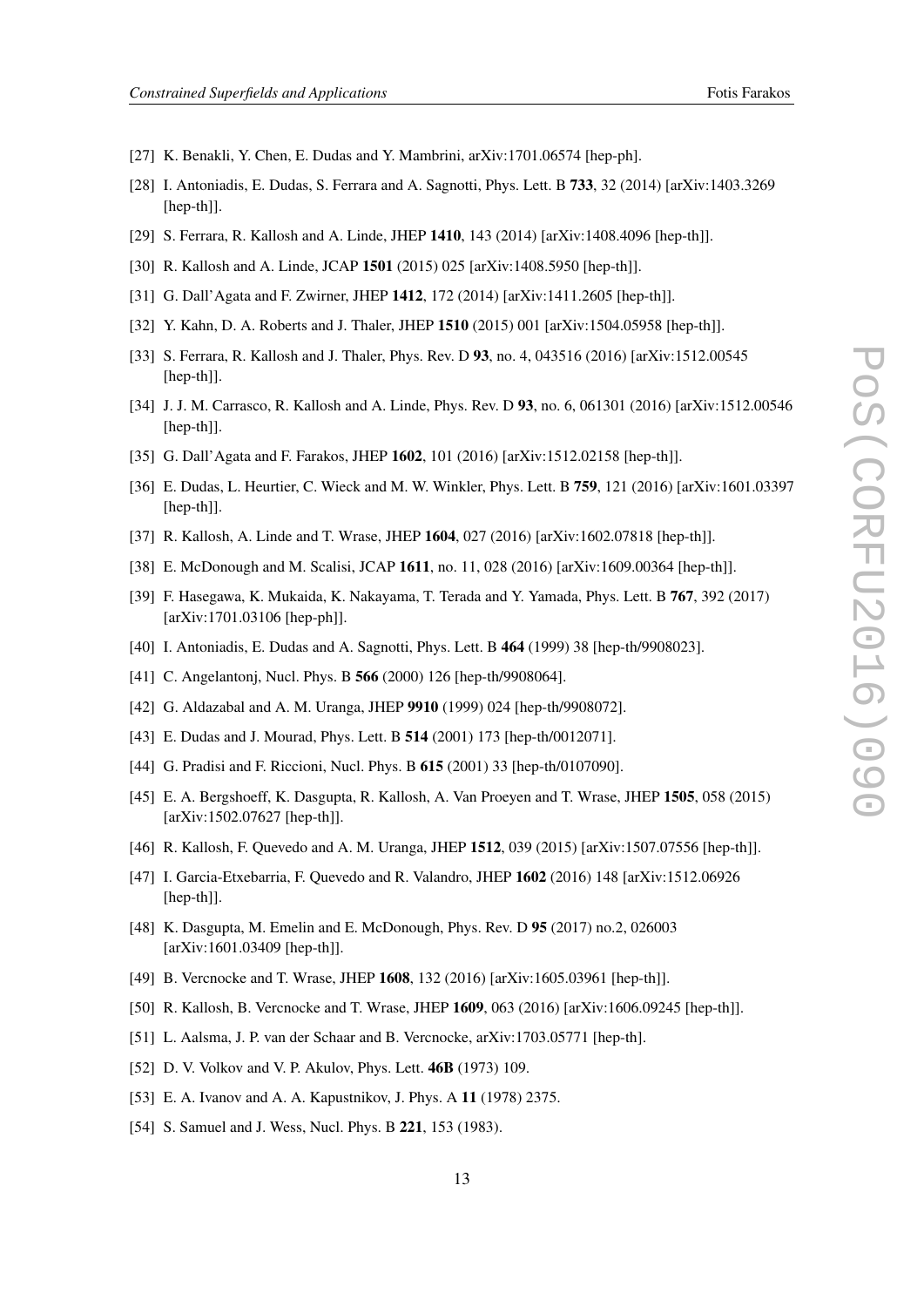- [27] K. Benakli, Y. Chen, E. Dudas and Y. Mambrini, arXiv:1701.06574 [hep-ph].
- [28] I. Antoniadis, E. Dudas, S. Ferrara and A. Sagnotti, Phys. Lett. B 733, 32 (2014) [arXiv:1403.3269 [hep-th]].
- [29] S. Ferrara, R. Kallosh and A. Linde, JHEP 1410, 143 (2014) [arXiv:1408.4096 [hep-th]].
- [30] R. Kallosh and A. Linde, JCAP 1501 (2015) 025 [arXiv:1408.5950 [hep-th]].
- [31] G. Dall'Agata and F. Zwirner, JHEP 1412, 172 (2014) [arXiv:1411.2605 [hep-th]].
- [32] Y. Kahn, D. A. Roberts and J. Thaler, JHEP 1510 (2015) 001 [arXiv:1504.05958 [hep-th]].
- [33] S. Ferrara, R. Kallosh and J. Thaler, Phys. Rev. D 93, no. 4, 043516 (2016) [arXiv:1512.00545 [hep-th]].
- [34] J. J. M. Carrasco, R. Kallosh and A. Linde, Phys. Rev. D 93, no. 6, 061301 (2016) [arXiv:1512.00546 [hep-th]].
- [35] G. Dall'Agata and F. Farakos, JHEP 1602, 101 (2016) [arXiv:1512.02158 [hep-th]].
- [36] E. Dudas, L. Heurtier, C. Wieck and M. W. Winkler, Phys. Lett. B 759, 121 (2016) [arXiv:1601.03397 [hep-th]].
- [37] R. Kallosh, A. Linde and T. Wrase, JHEP 1604, 027 (2016) [arXiv:1602.07818 [hep-th]].
- [38] E. McDonough and M. Scalisi, JCAP 1611, no. 11, 028 (2016) [arXiv:1609.00364 [hep-th]].
- [39] F. Hasegawa, K. Mukaida, K. Nakayama, T. Terada and Y. Yamada, Phys. Lett. B 767, 392 (2017) [arXiv:1701.03106 [hep-ph]].
- [40] I. Antoniadis, E. Dudas and A. Sagnotti, Phys. Lett. B 464 (1999) 38 [hep-th/9908023].
- [41] C. Angelantonj, Nucl. Phys. B **566** (2000) 126 [hep-th/9908064].
- [42] G. Aldazabal and A. M. Uranga, JHEP 9910 (1999) 024 [hep-th/9908072].
- [43] E. Dudas and J. Mourad, Phys. Lett. B 514 (2001) 173 [hep-th/0012071].
- [44] G. Pradisi and F. Riccioni, Nucl. Phys. B 615 (2001) 33 [hep-th/0107090].
- [45] E. A. Bergshoeff, K. Dasgupta, R. Kallosh, A. Van Proeyen and T. Wrase, JHEP 1505, 058 (2015) [arXiv:1502.07627 [hep-th]].
- [46] R. Kallosh, F. Quevedo and A. M. Uranga, JHEP 1512, 039 (2015) [arXiv:1507.07556 [hep-th]].
- [47] I. Garcia-Etxebarria, F. Quevedo and R. Valandro, JHEP 1602 (2016) 148 [arXiv:1512.06926 [hep-th]].
- [48] K. Dasgupta, M. Emelin and E. McDonough, Phys. Rev. D 95 (2017) no.2, 026003 [arXiv:1601.03409 [hep-th]].
- [49] B. Vercnocke and T. Wrase, JHEP 1608, 132 (2016) [arXiv:1605.03961 [hep-th]].
- [50] R. Kallosh, B. Vercnocke and T. Wrase, JHEP 1609, 063 (2016) [arXiv:1606.09245 [hep-th]].
- [51] L. Aalsma, J. P. van der Schaar and B. Vercnocke, arXiv:1703.05771 [hep-th].
- [52] D. V. Volkov and V. P. Akulov, Phys. Lett. **46B** (1973) 109.
- [53] E. A. Ivanov and A. A. Kapustnikov, J. Phys. A 11 (1978) 2375.
- [54] S. Samuel and J. Wess, Nucl. Phys. B 221, 153 (1983).